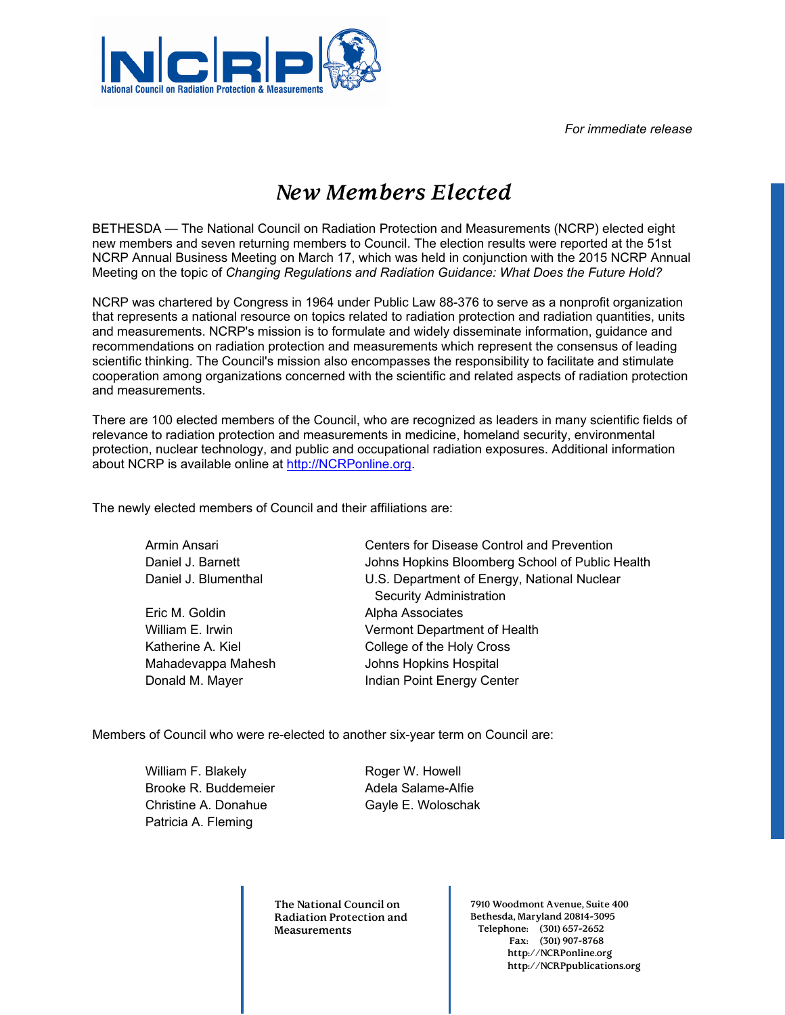*For immediate release* 



## *New Members Elected*

BETHESDA — The National Council on Radiation Protection and Measurements (NCRP) elected eight new members and seven returning members to Council. The election results were reported at the 51st NCRP Annual Business Meeting on March 17, which was held in conjunction with the 2015 NCRP Annual Meeting on the topic of *Changing Regulations and Radiation Guidance: What Does the Future Hold?*

NCRP was chartered by Congress in 1964 under Public Law 88-376 to serve as a nonprofit organization that represents a national resource on topics related to radiation protection and radiation quantities, units and measurements. NCRP's mission is to formulate and widely disseminate information, guidance and recommendations on radiation protection and measurements which represent the consensus of leading scientific thinking. The Council's mission also encompasses the responsibility to facilitate and stimulate cooperation among organizations concerned with the scientific and related aspects of radiation protection and measurements.

There are 100 elected members of the Council, who are recognized as leaders in many scientific fields of relevance to radiation protection and measurements in medicine, homeland security, environmental protection, nuclear technology, and public and occupational radiation exposures. Additional information about NCRP is available online at http://NCRPonline.org.

The newly elected members of Council and their affiliations are:

| Armin Ansari         | Centers for Disease Control and Prevention      |
|----------------------|-------------------------------------------------|
| Daniel J. Barnett    | Johns Hopkins Bloomberg School of Public Health |
| Daniel J. Blumenthal | U.S. Department of Energy, National Nuclear     |
|                      | <b>Security Administration</b>                  |
| Eric M. Goldin       | Alpha Associates                                |
| William E. Irwin     | Vermont Department of Health                    |
| Katherine A. Kiel    | College of the Holy Cross                       |
| Mahadevappa Mahesh   | Johns Hopkins Hospital                          |
| Donald M. Mayer      | Indian Point Energy Center                      |

Members of Council who were re-elected to another six-year term on Council are:

William F. Blakely Brooke R. Buddemeier Christine A. Donahue Patricia A. Fleming

Roger W. Howell Adela Salame-Alfie Gayle E. Woloschak

**The National Council on Radiation Protection and Measurements** 

**7910 Woodmont Avenue, Suite 400 Bethesda, Maryland 20814-3095 Telephone: (301) 657-2652 Fax: (301) 907-8768 http://NCRPonline.org http://NCRPpublications.org**